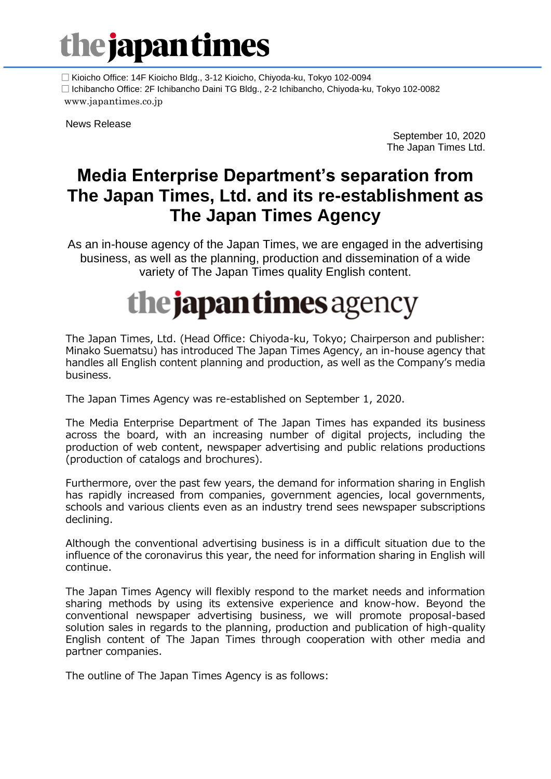# the japantimes

 □ Kioicho Office: 14F Kioicho Bldg., 3-12 Kioicho, Chiyoda-ku, Tokyo 102-0094 □ Ichibancho Office: 2F Ichibancho Daini TG Bldg., 2-2 Ichibancho, Chiyoda-ku, Tokyo 102-0082 www.japantimes.co.jp

News Release

September 10, 2020 The Japan Times Ltd.

### **Media Enterprise Department's separation from The Japan Times, Ltd. and its re-establishment as The Japan Times Agency**

As an in-house agency of the Japan Times, we are engaged in the advertising business, as well as the planning, production and dissemination of a wide variety of The Japan Times quality English content.

## **the japan times** agency

The Japan Times, Ltd. (Head Office: Chiyoda-ku, Tokyo; Chairperson and publisher: Minako Suematsu) has introduced The Japan Times Agency, an in-house agency that handles all English content planning and production, as well as the Company's media business.

The Japan Times Agency was re-established on September 1, 2020.

The Media Enterprise Department of The Japan Times has expanded its business across the board, with an increasing number of digital projects, including the production of web content, newspaper advertising and public relations productions (production of catalogs and brochures).

Furthermore, over the past few years, the demand for information sharing in English has rapidly increased from companies, government agencies, local governments, schools and various clients even as an industry trend sees newspaper subscriptions declining.

Although the conventional advertising business is in a difficult situation due to the influence of the coronavirus this year, the need for information sharing in English will continue.

The Japan Times Agency will flexibly respond to the market needs and information sharing methods by using its extensive experience and know-how. Beyond the conventional newspaper advertising business, we will promote proposal-based solution sales in regards to the planning, production and publication of high-quality English content of The Japan Times through cooperation with other media and partner companies.

The outline of The Japan Times Agency is as follows: